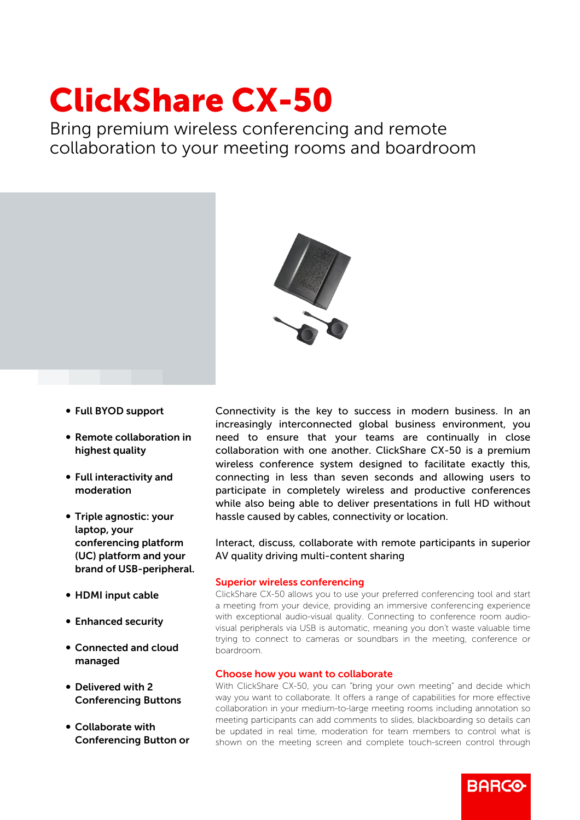# ClickShare CX-50

Bring premium wireless conferencing and remote collaboration to your meeting rooms and boardroom



- b Full BYOD support
- Remote collaboration in highest quality
- Full interactivity and moderation
- Triple agnostic: your laptop, your conferencing platform (UC) platform and your brand of USB-peripheral.
- HDMI input cable
- Enhanced security
- b Connected and cloud managed
- Delivered with 2 Conferencing Buttons
- Collaborate with Conferencing Button or

Connectivity is the key to success in modern business. In an increasingly interconnected global business environment, you need to ensure that your teams are continually in close collaboration with one another. ClickShare CX-50 is a premium wireless conference system designed to facilitate exactly this, connecting in less than seven seconds and allowing users to participate in completely wireless and productive conferences while also being able to deliver presentations in full HD without hassle caused by cables, connectivity or location.

Interact, discuss, collaborate with remote participants in superior AV quality driving multi-content sharing

## Superior wireless conferencing

ClickShare CX-50 allows you to use your preferred conferencing tool and start a meeting from your device, providing an immersive conferencing experience with exceptional audio-visual quality. Connecting to conference room audiovisual peripherals via USB is automatic, meaning you don't waste valuable time trying to connect to cameras or soundbars in the meeting, conference or boardroom.

#### Choose how you want to collaborate

With ClickShare CX-50, you can "bring your own meeting" and decide which way you want to collaborate. It offers a range of capabilities for more effective collaboration in your medium-to-large meeting rooms including annotation so meeting participants can add comments to slides, blackboarding so details can be updated in real time, moderation for team members to control what is shown on the meeting screen and complete touch-screen control through

**BARGO**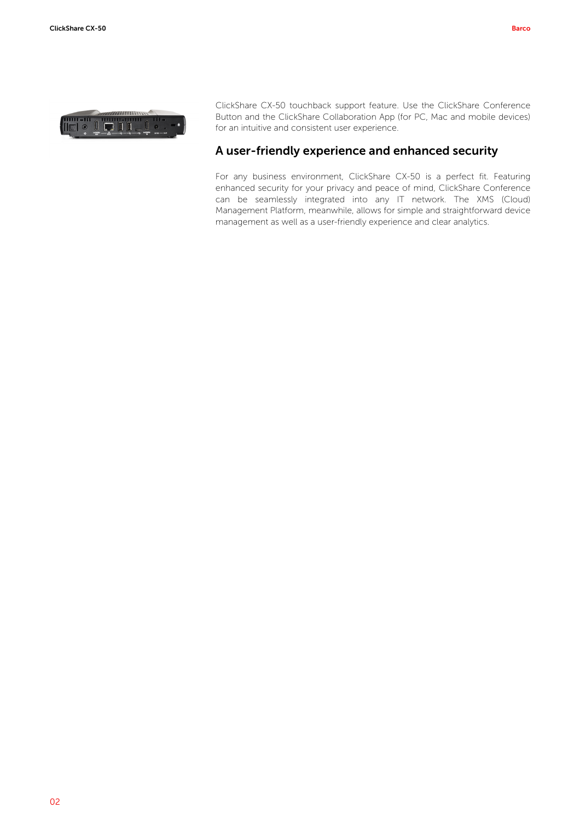

ClickShare CX-50 touchback support feature. Use the ClickShare Conference Button and the ClickShare Collaboration App (for PC, Mac and mobile devices) for an intuitive and consistent user experience.

# A user-friendly experience and enhanced security

For any business environment, ClickShare CX-50 is a perfect fit. Featuring enhanced security for your privacy and peace of mind, ClickShare Conference can be seamlessly integrated into any IT network. The XMS (Cloud) Management Platform, meanwhile, allows for simple and straightforward device management as well as a user-friendly experience and clear analytics.